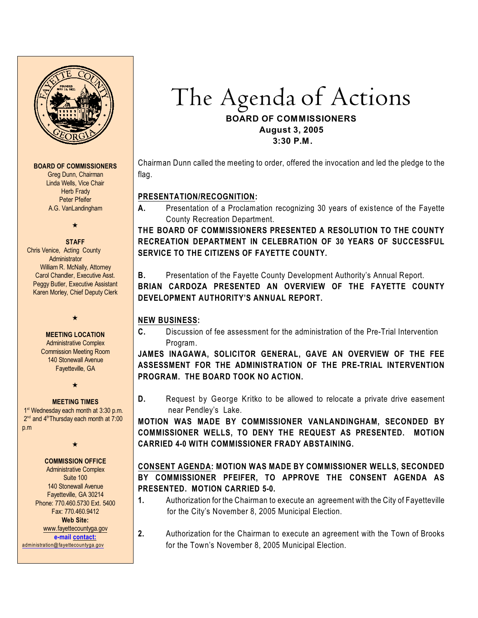

#### **BOARD OF COMMISSIONERS**

Greg Dunn, Chairman Linda Wells, Vice Chair Herb Frady Peter Pfeifer A.G. VanLandingham

 $\star$ 

#### **STAFF**

 Chris Venice, Acting County Administrator William R. McNally, Attorney Carol Chandler, Executive Asst. Peggy Butler, Executive Assistant Karen Morley, Chief Deputy Clerk

 $\star$ 

#### **MEETING LOCATION** Administrative Complex Commission Meeting Room 140 Stonewall Avenue

Fayetteville, GA  $\star$ 

#### **MEETING TIMES**

1<sup>st</sup> Wednesday each month at 3:30 p.m.  $2<sup>nd</sup>$  and  $4<sup>th</sup>$ Thursday each month at  $7:00$ p.m

#### $\star$

#### **COMMISSION OFFICE**

Administrative Complex Suite 100 140 Stonewall Avenue Fayetteville, GA 30214 Phone: 770.460.5730 Ext. 5400 Fax: 770.460.9412 **Web Site:** [www.fayettecountyga.gov](http://www.admin.co.fayette.ga.us) **e-mail [contact:](mailto:administration@fayettecountyga.gov)** [administration@fayettecountyga.gov](mailto:administration@fayettecountyga.gov)

The Agenda *of Actions*

## **BOARD OF COMMISSIONERS August 3, 2005 3:30 P.M.**

Chairman Dunn called the meeting to order, offered the invocation and led the pledge to the flag.

## **PRESENTATION/RECOGNITION:**

**A.** Presentation of a Proclamation recognizing 30 years of existence of the Fayette County Recreation Department.

**THE BOARD OF COMMISSIONERS PRESENTED A RESOLUTION TO THE COUNTY RECREATION DEPARTMENT IN CELEBRATION OF 30 YEARS OF SUCCESSFUL SERVICE TO THE CITIZENS OF FAYETTE COUNTY.**

**B.** Presentation of the Fayette County Development Authority's Annual Report.

**BRIAN CARDOZA PRESENTED AN OVERVIEW OF THE FAYETTE COUNTY DEVELOPMENT AUTHORITY'S ANNUAL REPORT.**

# **NEW BUSINESS:**

**C.** Discussion of fee assessment for the administration of the Pre-Trial Intervention Program.

**JAMES INAGAWA, SOLICITOR GENERAL, GAVE AN OVERVIEW OF THE FEE ASSESSMENT FOR THE ADMINISTRATION OF THE PRE-TRIAL INTERVENTION PROGRAM. THE BOARD TOOK NO ACTION.**

**D.** Request by George Kritko to be allowed to relocate a private drive easement near Pendley's Lake.

**MOTION WAS MADE BY COMMISSIONER VANLANDINGHAM, SECONDED BY COMMISSIONER WELLS, TO DENY THE REQUEST AS PRESENTED. MOTION CARRIED 4-0 WITH COMMISSIONER FRADY ABSTAINING.**

# **CONSENT AGENDA: MOTION WAS MADE BY COMMISSIONER WELLS, SECONDED BY COMMISSIONER PFEIFER, TO APPROVE THE CONSENT AGENDA AS PRESENTED. MOTION CARRIED 5-0.**

- **1.** Authorization for the Chairman to execute an agreement with the City of Fayetteville for the City's November 8, 2005 Municipal Election.
- **2.** Authorization for the Chairman to execute an agreement with the Town of Brooks for the Town's November 8, 2005 Municipal Election.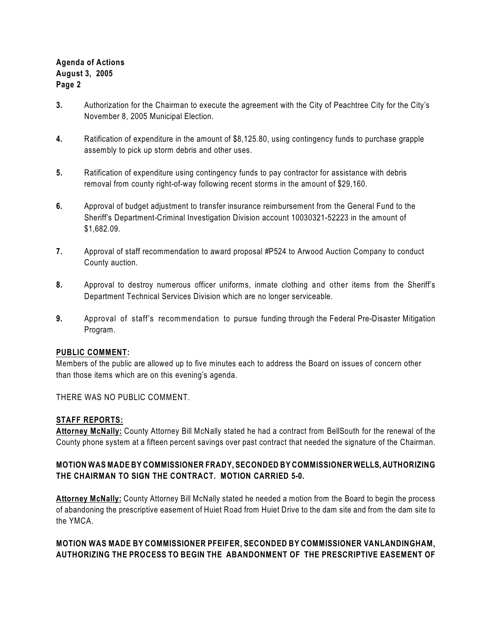# **Agenda of Actions August 3, 2005 Page 2**

- **3.** Authorization for the Chairman to execute the agreement with the City of Peachtree City for the City's November 8, 2005 Municipal Election.
- **4.** Ratification of expenditure in the amount of \$8,125.80, using contingency funds to purchase grapple assembly to pick up storm debris and other uses.
- **5.** Ratification of expenditure using contingency funds to pay contractor for assistance with debris removal from county right-of-way following recent storms in the amount of \$29,160.
- **6.** Approval of budget adjustment to transfer insurance reimbursement from the General Fund to the Sheriff's Department-Criminal Investigation Division account 10030321-52223 in the amount of \$1,682.09.
- **7.** Approval of staff recommendation to award proposal #P524 to Arwood Auction Company to conduct County auction.
- **8.** Approval to destroy numerous officer uniforms, inmate clothing and other items from the Sheriff's Department Technical Services Division which are no longer serviceable.
- **9.** Approval of staff's recommendation to pursue funding through the Federal Pre-Disaster Mitigation Program.

### **PUBLIC COMMENT:**

Members of the public are allowed up to five minutes each to address the Board on issues of concern other than those items which are on this evening's agenda.

THERE WAS NO PUBLIC COMMENT.

### **STAFF REPORTS:**

**Attorney McNally:** County Attorney Bill McNally stated he had a contract from BellSouth for the renewal of the County phone system at a fifteen percent savings over past contract that needed the signature of the Chairman.

## **MOTION WAS MADE BY COMMISSIONER FRADY, SECONDED BY COMMISSIONER WELLS, AUTHORIZING THE CHAIRMAN TO SIGN THE CONTRACT. MOTION CARRIED 5-0.**

**Attorney McNally:** County Attorney Bill McNally stated he needed a motion from the Board to begin the process of abandoning the prescriptive easement of Huiet Road from Huiet Drive to the dam site and from the dam site to the YMCA.

## **MOTION WAS MADE BY COMMISSIONER PFEIFER, SECONDED BY COMMISSIONER VANLANDINGHAM, AUTHORIZING THE PROCESS TO BEGIN THE ABANDONMENT OF THE PRESCRIPTIVE EASEMENT OF**